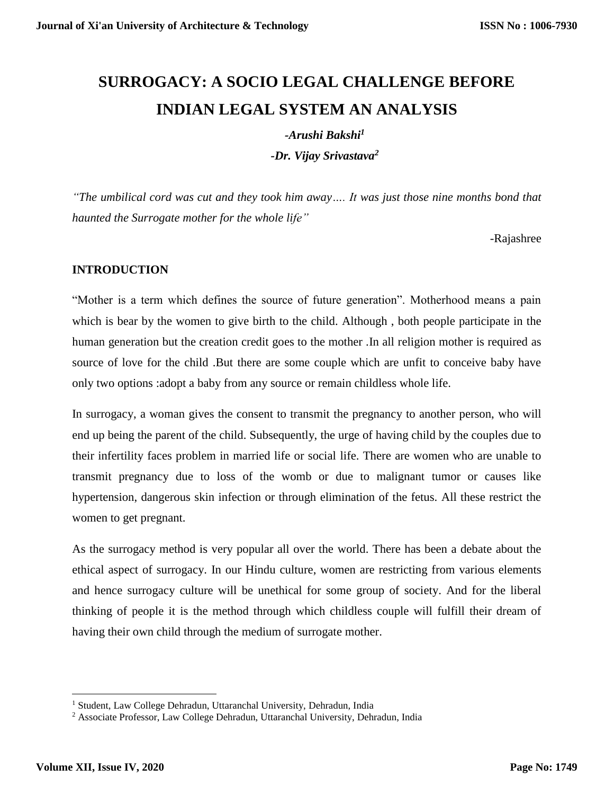# **SURROGACY: A SOCIO LEGAL CHALLENGE BEFORE INDIAN LEGAL SYSTEM AN ANALYSIS**

#### *-Arushi Bakshi<sup>1</sup>*

*-Dr. Vijay Srivastava<sup>2</sup>*

*"The umbilical cord was cut and they took him away…. It was just those nine months bond that haunted the Surrogate mother for the whole life"*

-Rajashree

## **INTRODUCTION**

"Mother is a term which defines the source of future generation". Motherhood means a pain which is bear by the women to give birth to the child. Although , both people participate in the human generation but the creation credit goes to the mother .In all religion mother is required as source of love for the child .But there are some couple which are unfit to conceive baby have only two options :adopt a baby from any source or remain childless whole life.

In surrogacy, a woman gives the consent to transmit the pregnancy to another person, who will end up being the parent of the child. Subsequently, the urge of having child by the couples due to their infertility faces problem in married life or social life. There are women who are unable to transmit pregnancy due to loss of the womb or due to malignant tumor or causes like hypertension, dangerous skin infection or through elimination of the fetus. All these restrict the women to get pregnant.

As the surrogacy method is very popular all over the world. There has been a debate about the ethical aspect of surrogacy. In our Hindu culture, women are restricting from various elements and hence surrogacy culture will be unethical for some group of society. And for the liberal thinking of people it is the method through which childless couple will fulfill their dream of having their own child through the medium of surrogate mother.

 $\overline{\phantom{a}}$ 

<sup>&</sup>lt;sup>1</sup> Student, Law College Dehradun, Uttaranchal University, Dehradun, India

<sup>2</sup> Associate Professor, Law College Dehradun, Uttaranchal University, Dehradun, India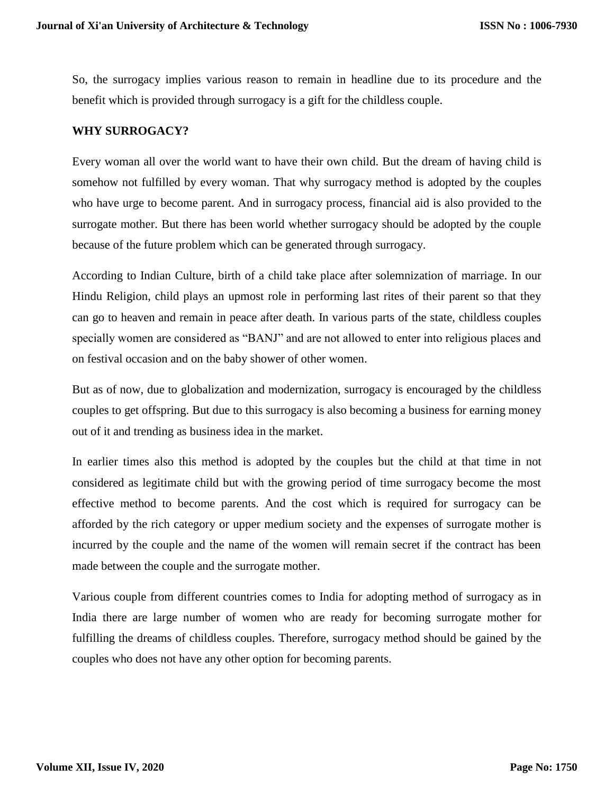So, the surrogacy implies various reason to remain in headline due to its procedure and the benefit which is provided through surrogacy is a gift for the childless couple.

#### **WHY SURROGACY?**

Every woman all over the world want to have their own child. But the dream of having child is somehow not fulfilled by every woman. That why surrogacy method is adopted by the couples who have urge to become parent. And in surrogacy process, financial aid is also provided to the surrogate mother. But there has been world whether surrogacy should be adopted by the couple because of the future problem which can be generated through surrogacy.

According to Indian Culture, birth of a child take place after solemnization of marriage. In our Hindu Religion, child plays an upmost role in performing last rites of their parent so that they can go to heaven and remain in peace after death. In various parts of the state, childless couples specially women are considered as "BANJ" and are not allowed to enter into religious places and on festival occasion and on the baby shower of other women.

But as of now, due to globalization and modernization, surrogacy is encouraged by the childless couples to get offspring. But due to this surrogacy is also becoming a business for earning money out of it and trending as business idea in the market.

In earlier times also this method is adopted by the couples but the child at that time in not considered as legitimate child but with the growing period of time surrogacy become the most effective method to become parents. And the cost which is required for surrogacy can be afforded by the rich category or upper medium society and the expenses of surrogate mother is incurred by the couple and the name of the women will remain secret if the contract has been made between the couple and the surrogate mother.

Various couple from different countries comes to India for adopting method of surrogacy as in India there are large number of women who are ready for becoming surrogate mother for fulfilling the dreams of childless couples. Therefore, surrogacy method should be gained by the couples who does not have any other option for becoming parents.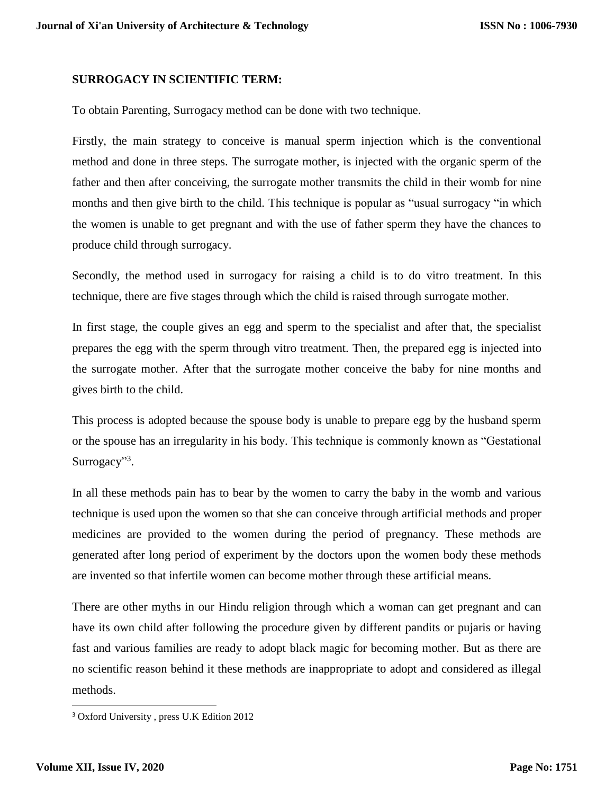#### **SURROGACY IN SCIENTIFIC TERM:**

To obtain Parenting, Surrogacy method can be done with two technique.

Firstly, the main strategy to conceive is manual sperm injection which is the conventional method and done in three steps. The surrogate mother, is injected with the organic sperm of the father and then after conceiving, the surrogate mother transmits the child in their womb for nine months and then give birth to the child. This technique is popular as "usual surrogacy "in which the women is unable to get pregnant and with the use of father sperm they have the chances to produce child through surrogacy.

Secondly, the method used in surrogacy for raising a child is to do vitro treatment. In this technique, there are five stages through which the child is raised through surrogate mother.

In first stage, the couple gives an egg and sperm to the specialist and after that, the specialist prepares the egg with the sperm through vitro treatment. Then, the prepared egg is injected into the surrogate mother. After that the surrogate mother conceive the baby for nine months and gives birth to the child.

This process is adopted because the spouse body is unable to prepare egg by the husband sperm or the spouse has an irregularity in his body. This technique is commonly known as "Gestational Surrogacy"<sup>3</sup>.

In all these methods pain has to bear by the women to carry the baby in the womb and various technique is used upon the women so that she can conceive through artificial methods and proper medicines are provided to the women during the period of pregnancy. These methods are generated after long period of experiment by the doctors upon the women body these methods are invented so that infertile women can become mother through these artificial means.

There are other myths in our Hindu religion through which a woman can get pregnant and can have its own child after following the procedure given by different pandits or pujaris or having fast and various families are ready to adopt black magic for becoming mother. But as there are no scientific reason behind it these methods are inappropriate to adopt and considered as illegal methods.

 $\overline{\phantom{a}}$ 

<sup>3</sup> Oxford University , press U.K Edition 2012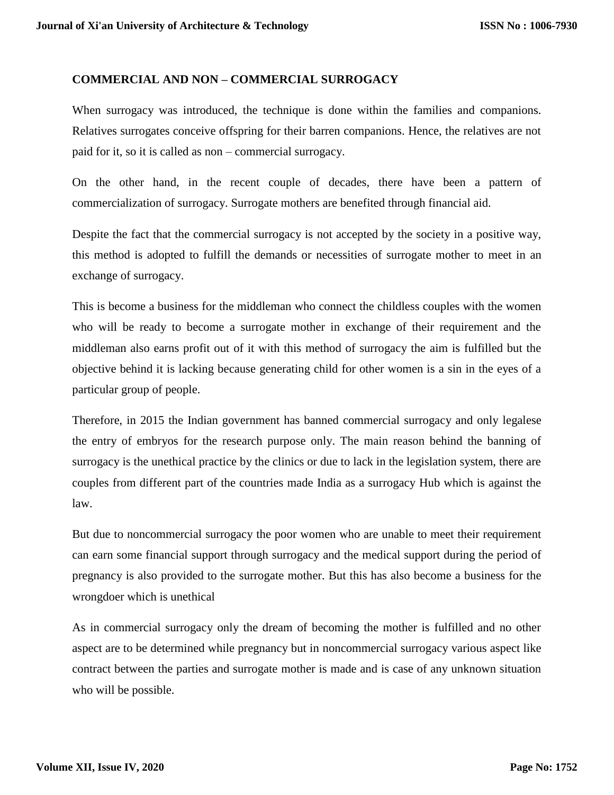## **COMMERCIAL AND NON – COMMERCIAL SURROGACY**

When surrogacy was introduced, the technique is done within the families and companions. Relatives surrogates conceive offspring for their barren companions. Hence, the relatives are not paid for it, so it is called as non – commercial surrogacy.

On the other hand, in the recent couple of decades, there have been a pattern of commercialization of surrogacy. Surrogate mothers are benefited through financial aid.

Despite the fact that the commercial surrogacy is not accepted by the society in a positive way, this method is adopted to fulfill the demands or necessities of surrogate mother to meet in an exchange of surrogacy.

This is become a business for the middleman who connect the childless couples with the women who will be ready to become a surrogate mother in exchange of their requirement and the middleman also earns profit out of it with this method of surrogacy the aim is fulfilled but the objective behind it is lacking because generating child for other women is a sin in the eyes of a particular group of people.

Therefore, in 2015 the Indian government has banned commercial surrogacy and only legalese the entry of embryos for the research purpose only. The main reason behind the banning of surrogacy is the unethical practice by the clinics or due to lack in the legislation system, there are couples from different part of the countries made India as a surrogacy Hub which is against the law.

But due to noncommercial surrogacy the poor women who are unable to meet their requirement can earn some financial support through surrogacy and the medical support during the period of pregnancy is also provided to the surrogate mother. But this has also become a business for the wrongdoer which is unethical

As in commercial surrogacy only the dream of becoming the mother is fulfilled and no other aspect are to be determined while pregnancy but in noncommercial surrogacy various aspect like contract between the parties and surrogate mother is made and is case of any unknown situation who will be possible.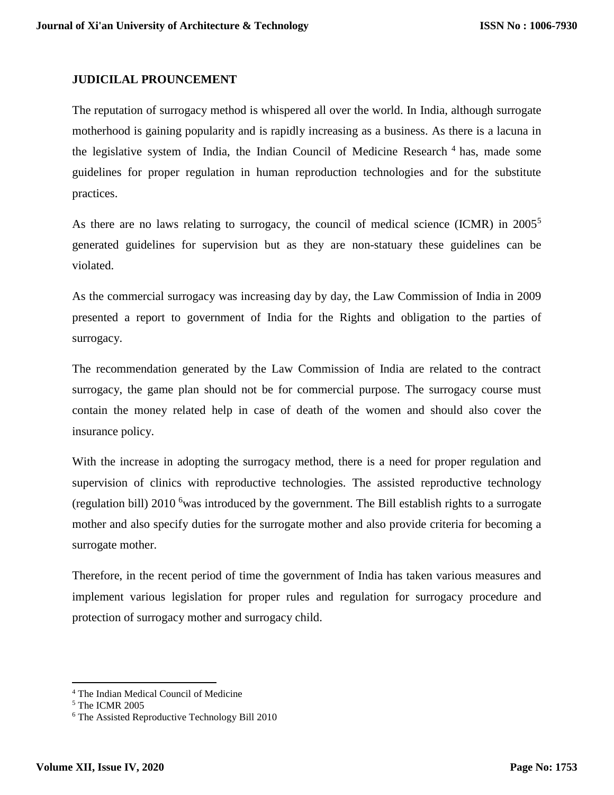## **JUDICILAL PROUNCEMENT**

The reputation of surrogacy method is whispered all over the world. In India, although surrogate motherhood is gaining popularity and is rapidly increasing as a business. As there is a lacuna in the legislative system of India, the Indian Council of Medicine Research<sup>4</sup> has, made some guidelines for proper regulation in human reproduction technologies and for the substitute practices.

As there are no laws relating to surrogacy, the council of medical science (ICMR) in  $2005^5$ generated guidelines for supervision but as they are non-statuary these guidelines can be violated.

As the commercial surrogacy was increasing day by day, the Law Commission of India in 2009 presented a report to government of India for the Rights and obligation to the parties of surrogacy.

The recommendation generated by the Law Commission of India are related to the contract surrogacy, the game plan should not be for commercial purpose. The surrogacy course must contain the money related help in case of death of the women and should also cover the insurance policy.

With the increase in adopting the surrogacy method, there is a need for proper regulation and supervision of clinics with reproductive technologies. The assisted reproductive technology (regulation bill) 2010 <sup>6</sup>was introduced by the government. The Bill establish rights to a surrogate mother and also specify duties for the surrogate mother and also provide criteria for becoming a surrogate mother.

Therefore, in the recent period of time the government of India has taken various measures and implement various legislation for proper rules and regulation for surrogacy procedure and protection of surrogacy mother and surrogacy child.

 $\overline{\phantom{a}}$ 

<sup>4</sup> The Indian Medical Council of Medicine

<sup>5</sup> The ICMR 2005

<sup>6</sup> The Assisted Reproductive Technology Bill 2010